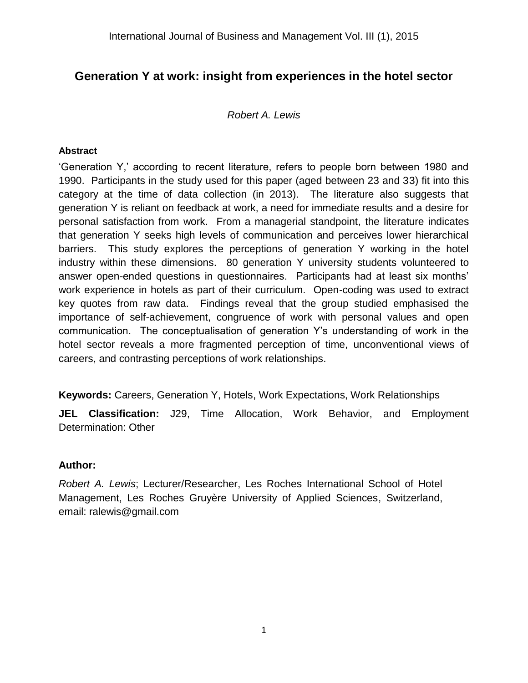## **Generation Y at work: insight from experiences in the hotel sector**

#### *Robert A. Lewis*

#### **Abstract**

'Generation Y,' according to recent literature, refers to people born between 1980 and 1990. Participants in the study used for this paper (aged between 23 and 33) fit into this category at the time of data collection (in 2013). The literature also suggests that generation Y is reliant on feedback at work, a need for immediate results and a desire for personal satisfaction from work. From a managerial standpoint, the literature indicates that generation Y seeks high levels of communication and perceives lower hierarchical barriers. This study explores the perceptions of generation Y working in the hotel industry within these dimensions. 80 generation Y university students volunteered to answer open-ended questions in questionnaires. Participants had at least six months' work experience in hotels as part of their curriculum. Open-coding was used to extract key quotes from raw data. Findings reveal that the group studied emphasised the importance of self-achievement, congruence of work with personal values and open communication. The conceptualisation of generation Y's understanding of work in the hotel sector reveals a more fragmented perception of time, unconventional views of careers, and contrasting perceptions of work relationships.

**Keywords:** Careers, Generation Y, Hotels, Work Expectations, Work Relationships

**JEL Classification:** J29, Time Allocation, Work Behavior, and Employment Determination: Other

#### **Author:**

*Robert A. Lewis*; Lecturer/Researcher, Les Roches International School of Hotel Management, Les Roches Gruyère University of Applied Sciences, Switzerland, email: ralewis@gmail.com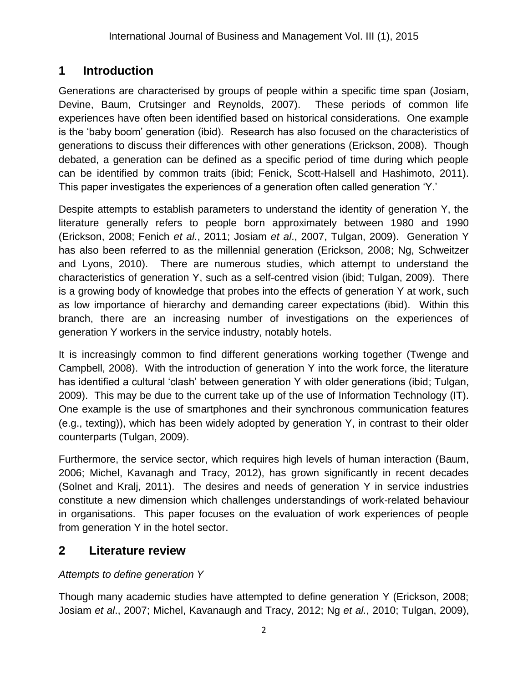# **1 Introduction**

Generations are characterised by groups of people within a specific time span (Josiam, Devine, Baum, Crutsinger and Reynolds, 2007). These periods of common life experiences have often been identified based on historical considerations. One example is the 'baby boom' generation (ibid). Research has also focused on the characteristics of generations to discuss their differences with other generations (Erickson, 2008). Though debated, a generation can be defined as a specific period of time during which people can be identified by common traits (ibid; Fenick, Scott-Halsell and Hashimoto, 2011). This paper investigates the experiences of a generation often called generation 'Y.'

Despite attempts to establish parameters to understand the identity of generation Y, the literature generally refers to people born approximately between 1980 and 1990 (Erickson, 2008; Fenich *et al.*, 2011; Josiam *et al*., 2007, Tulgan, 2009). Generation Y has also been referred to as the millennial generation (Erickson, 2008; Ng, Schweitzer and Lyons, 2010). There are numerous studies, which attempt to understand the characteristics of generation Y, such as a self-centred vision (ibid; Tulgan, 2009). There is a growing body of knowledge that probes into the effects of generation Y at work, such as low importance of hierarchy and demanding career expectations (ibid). Within this branch, there are an increasing number of investigations on the experiences of generation Y workers in the service industry, notably hotels.

It is increasingly common to find different generations working together (Twenge and Campbell, 2008). With the introduction of generation Y into the work force, the literature has identified a cultural 'clash' between generation Y with older generations (ibid; Tulgan, 2009). This may be due to the current take up of the use of Information Technology (IT). One example is the use of smartphones and their synchronous communication features (e.g., texting)), which has been widely adopted by generation Y, in contrast to their older counterparts (Tulgan, 2009).

Furthermore, the service sector, which requires high levels of human interaction (Baum, 2006; Michel, Kavanagh and Tracy, 2012), has grown significantly in recent decades (Solnet and Kralj, 2011). The desires and needs of generation Y in service industries constitute a new dimension which challenges understandings of work-related behaviour in organisations. This paper focuses on the evaluation of work experiences of people from generation Y in the hotel sector.

# **2 Literature review**

## *Attempts to define generation Y*

Though many academic studies have attempted to define generation Y (Erickson, 2008; Josiam *et al*., 2007; Michel, Kavanaugh and Tracy, 2012; Ng *et al.*, 2010; Tulgan, 2009),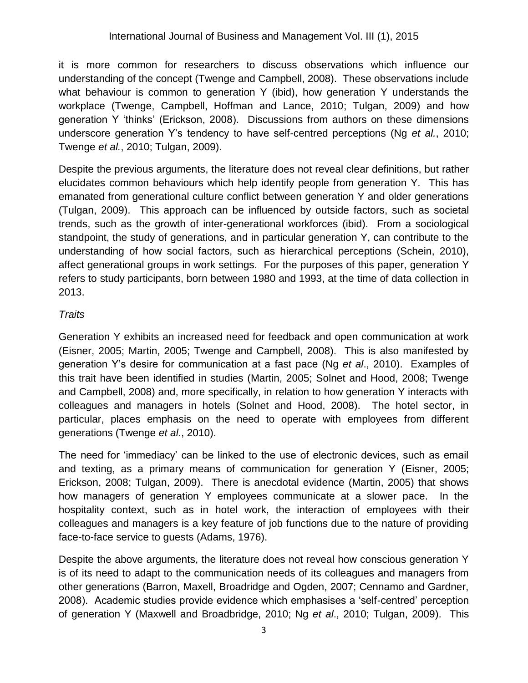it is more common for researchers to discuss observations which influence our understanding of the concept (Twenge and Campbell, 2008). These observations include what behaviour is common to generation Y (ibid), how generation Y understands the workplace (Twenge, Campbell, Hoffman and Lance, 2010; Tulgan, 2009) and how generation Y 'thinks' (Erickson, 2008). Discussions from authors on these dimensions underscore generation Y's tendency to have self-centred perceptions (Ng *et al.*, 2010; Twenge *et al.*, 2010; Tulgan, 2009).

Despite the previous arguments, the literature does not reveal clear definitions, but rather elucidates common behaviours which help identify people from generation Y. This has emanated from generational culture conflict between generation Y and older generations (Tulgan, 2009). This approach can be influenced by outside factors, such as societal trends, such as the growth of inter-generational workforces (ibid). From a sociological standpoint, the study of generations, and in particular generation Y, can contribute to the understanding of how social factors, such as hierarchical perceptions (Schein, 2010), affect generational groups in work settings. For the purposes of this paper, generation Y refers to study participants, born between 1980 and 1993, at the time of data collection in 2013.

## *Traits*

Generation Y exhibits an increased need for feedback and open communication at work (Eisner, 2005; Martin, 2005; Twenge and Campbell, 2008). This is also manifested by generation Y's desire for communication at a fast pace (Ng *et al*., 2010). Examples of this trait have been identified in studies (Martin, 2005; Solnet and Hood, 2008; Twenge and Campbell, 2008) and, more specifically, in relation to how generation Y interacts with colleagues and managers in hotels (Solnet and Hood, 2008). The hotel sector, in particular, places emphasis on the need to operate with employees from different generations (Twenge *et al*., 2010).

The need for 'immediacy' can be linked to the use of electronic devices, such as email and texting, as a primary means of communication for generation Y (Eisner, 2005; Erickson, 2008; Tulgan, 2009). There is anecdotal evidence (Martin, 2005) that shows how managers of generation Y employees communicate at a slower pace. In the hospitality context, such as in hotel work, the interaction of employees with their colleagues and managers is a key feature of job functions due to the nature of providing face-to-face service to guests (Adams, 1976).

Despite the above arguments, the literature does not reveal how conscious generation Y is of its need to adapt to the communication needs of its colleagues and managers from other generations (Barron, Maxell, Broadridge and Ogden, 2007; Cennamo and Gardner, 2008). Academic studies provide evidence which emphasises a 'self-centred' perception of generation Y (Maxwell and Broadbridge, 2010; Ng *et al*., 2010; Tulgan, 2009). This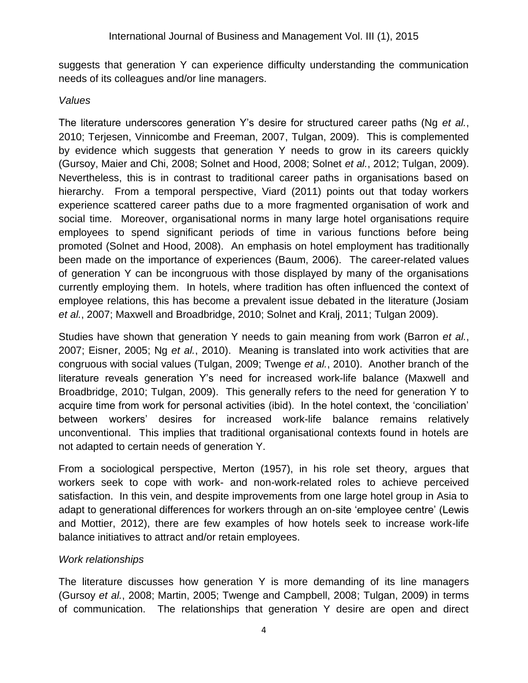suggests that generation Y can experience difficulty understanding the communication needs of its colleagues and/or line managers.

#### *Values*

The literature underscores generation Y's desire for structured career paths (Ng *et al.*, 2010; Terjesen, Vinnicombe and Freeman, 2007, Tulgan, 2009). This is complemented by evidence which suggests that generation Y needs to grow in its careers quickly (Gursoy, Maier and Chi, 2008; Solnet and Hood, 2008; Solnet *et al.*, 2012; Tulgan, 2009). Nevertheless, this is in contrast to traditional career paths in organisations based on hierarchy. From a temporal perspective, Viard (2011) points out that today workers experience scattered career paths due to a more fragmented organisation of work and social time. Moreover, organisational norms in many large hotel organisations require employees to spend significant periods of time in various functions before being promoted (Solnet and Hood, 2008). An emphasis on hotel employment has traditionally been made on the importance of experiences (Baum, 2006). The career-related values of generation Y can be incongruous with those displayed by many of the organisations currently employing them. In hotels, where tradition has often influenced the context of employee relations, this has become a prevalent issue debated in the literature (Josiam *et al.*, 2007; Maxwell and Broadbridge, 2010; Solnet and Kralj, 2011; Tulgan 2009).

Studies have shown that generation Y needs to gain meaning from work (Barron *et al.*, 2007; Eisner, 2005; Ng *et al.*, 2010). Meaning is translated into work activities that are congruous with social values (Tulgan, 2009; Twenge *et al.*, 2010). Another branch of the literature reveals generation Y's need for increased work-life balance (Maxwell and Broadbridge, 2010; Tulgan, 2009). This generally refers to the need for generation Y to acquire time from work for personal activities (ibid). In the hotel context, the 'conciliation' between workers' desires for increased work-life balance remains relatively unconventional. This implies that traditional organisational contexts found in hotels are not adapted to certain needs of generation Y.

From a sociological perspective, Merton (1957), in his role set theory, argues that workers seek to cope with work- and non-work-related roles to achieve perceived satisfaction. In this vein, and despite improvements from one large hotel group in Asia to adapt to generational differences for workers through an on-site 'employee centre' (Lewis and Mottier, 2012), there are few examples of how hotels seek to increase work-life balance initiatives to attract and/or retain employees.

#### *Work relationships*

The literature discusses how generation Y is more demanding of its line managers (Gursoy *et al.*, 2008; Martin, 2005; Twenge and Campbell, 2008; Tulgan, 2009) in terms of communication. The relationships that generation Y desire are open and direct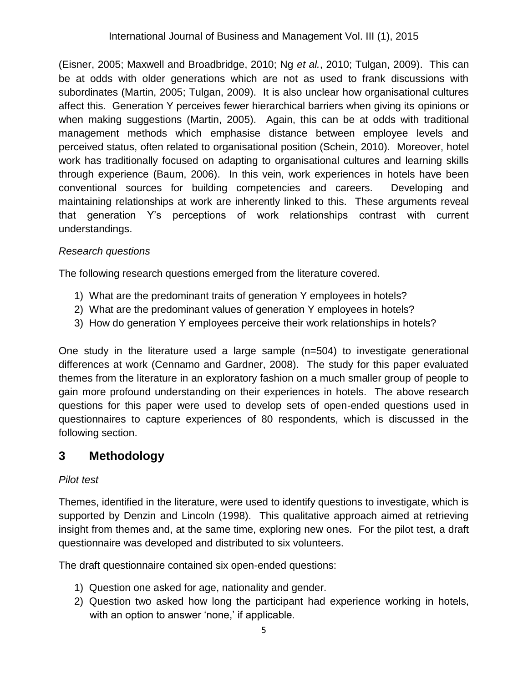(Eisner, 2005; Maxwell and Broadbridge, 2010; Ng *et al.*, 2010; Tulgan, 2009). This can be at odds with older generations which are not as used to frank discussions with subordinates (Martin, 2005; Tulgan, 2009). It is also unclear how organisational cultures affect this. Generation Y perceives fewer hierarchical barriers when giving its opinions or when making suggestions (Martin, 2005). Again, this can be at odds with traditional management methods which emphasise distance between employee levels and perceived status, often related to organisational position (Schein, 2010). Moreover, hotel work has traditionally focused on adapting to organisational cultures and learning skills through experience (Baum, 2006). In this vein, work experiences in hotels have been conventional sources for building competencies and careers. Developing and maintaining relationships at work are inherently linked to this. These arguments reveal that generation Y's perceptions of work relationships contrast with current understandings.

## *Research questions*

The following research questions emerged from the literature covered.

- 1) What are the predominant traits of generation Y employees in hotels?
- 2) What are the predominant values of generation Y employees in hotels?
- 3) How do generation Y employees perceive their work relationships in hotels?

One study in the literature used a large sample (n=504) to investigate generational differences at work (Cennamo and Gardner, 2008). The study for this paper evaluated themes from the literature in an exploratory fashion on a much smaller group of people to gain more profound understanding on their experiences in hotels. The above research questions for this paper were used to develop sets of open-ended questions used in questionnaires to capture experiences of 80 respondents, which is discussed in the following section.

## **3 Methodology**

## *Pilot test*

Themes, identified in the literature, were used to identify questions to investigate, which is supported by Denzin and Lincoln (1998). This qualitative approach aimed at retrieving insight from themes and, at the same time, exploring new ones. For the pilot test, a draft questionnaire was developed and distributed to six volunteers.

The draft questionnaire contained six open-ended questions:

- 1) Question one asked for age, nationality and gender.
- 2) Question two asked how long the participant had experience working in hotels, with an option to answer 'none,' if applicable.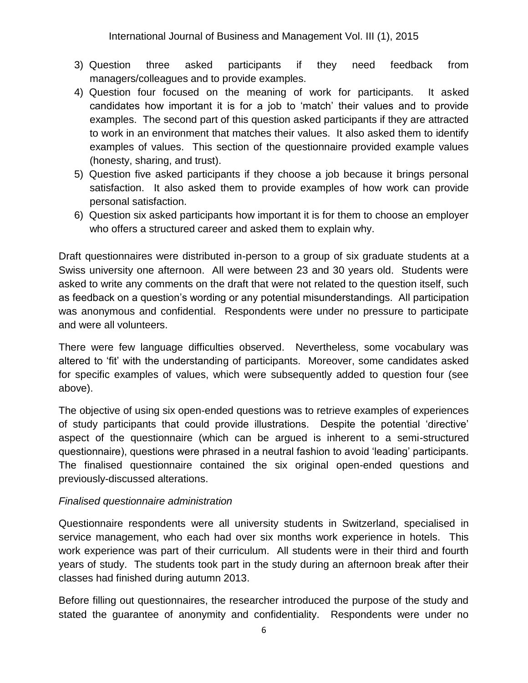- 3) Question three asked participants if they need feedback from managers/colleagues and to provide examples.
- 4) Question four focused on the meaning of work for participants. It asked candidates how important it is for a job to 'match' their values and to provide examples. The second part of this question asked participants if they are attracted to work in an environment that matches their values. It also asked them to identify examples of values. This section of the questionnaire provided example values (honesty, sharing, and trust).
- 5) Question five asked participants if they choose a job because it brings personal satisfaction. It also asked them to provide examples of how work can provide personal satisfaction.
- 6) Question six asked participants how important it is for them to choose an employer who offers a structured career and asked them to explain why.

Draft questionnaires were distributed in-person to a group of six graduate students at a Swiss university one afternoon. All were between 23 and 30 years old. Students were asked to write any comments on the draft that were not related to the question itself, such as feedback on a question's wording or any potential misunderstandings. All participation was anonymous and confidential. Respondents were under no pressure to participate and were all volunteers.

There were few language difficulties observed. Nevertheless, some vocabulary was altered to 'fit' with the understanding of participants. Moreover, some candidates asked for specific examples of values, which were subsequently added to question four (see above).

The objective of using six open-ended questions was to retrieve examples of experiences of study participants that could provide illustrations. Despite the potential 'directive' aspect of the questionnaire (which can be argued is inherent to a semi-structured questionnaire), questions were phrased in a neutral fashion to avoid 'leading' participants. The finalised questionnaire contained the six original open-ended questions and previously-discussed alterations.

#### *Finalised questionnaire administration*

Questionnaire respondents were all university students in Switzerland, specialised in service management, who each had over six months work experience in hotels. This work experience was part of their curriculum. All students were in their third and fourth years of study. The students took part in the study during an afternoon break after their classes had finished during autumn 2013.

Before filling out questionnaires, the researcher introduced the purpose of the study and stated the guarantee of anonymity and confidentiality. Respondents were under no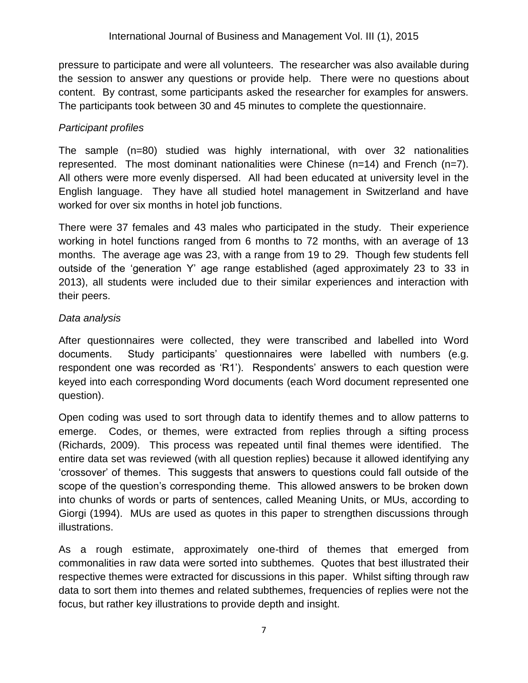pressure to participate and were all volunteers. The researcher was also available during the session to answer any questions or provide help. There were no questions about content. By contrast, some participants asked the researcher for examples for answers. The participants took between 30 and 45 minutes to complete the questionnaire.

## *Participant profiles*

The sample (n=80) studied was highly international, with over 32 nationalities represented. The most dominant nationalities were Chinese (n=14) and French (n=7). All others were more evenly dispersed. All had been educated at university level in the English language. They have all studied hotel management in Switzerland and have worked for over six months in hotel job functions.

There were 37 females and 43 males who participated in the study. Their experience working in hotel functions ranged from 6 months to 72 months, with an average of 13 months. The average age was 23, with a range from 19 to 29. Though few students fell outside of the 'generation Y' age range established (aged approximately 23 to 33 in 2013), all students were included due to their similar experiences and interaction with their peers.

## *Data analysis*

After questionnaires were collected, they were transcribed and labelled into Word documents. Study participants' questionnaires were labelled with numbers (e.g. respondent one was recorded as 'R1'). Respondents' answers to each question were keyed into each corresponding Word documents (each Word document represented one question).

Open coding was used to sort through data to identify themes and to allow patterns to emerge. Codes, or themes, were extracted from replies through a sifting process (Richards, 2009). This process was repeated until final themes were identified. The entire data set was reviewed (with all question replies) because it allowed identifying any 'crossover' of themes. This suggests that answers to questions could fall outside of the scope of the question's corresponding theme. This allowed answers to be broken down into chunks of words or parts of sentences, called Meaning Units, or MUs, according to Giorgi (1994). MUs are used as quotes in this paper to strengthen discussions through illustrations.

As a rough estimate, approximately one-third of themes that emerged from commonalities in raw data were sorted into subthemes. Quotes that best illustrated their respective themes were extracted for discussions in this paper. Whilst sifting through raw data to sort them into themes and related subthemes, frequencies of replies were not the focus, but rather key illustrations to provide depth and insight.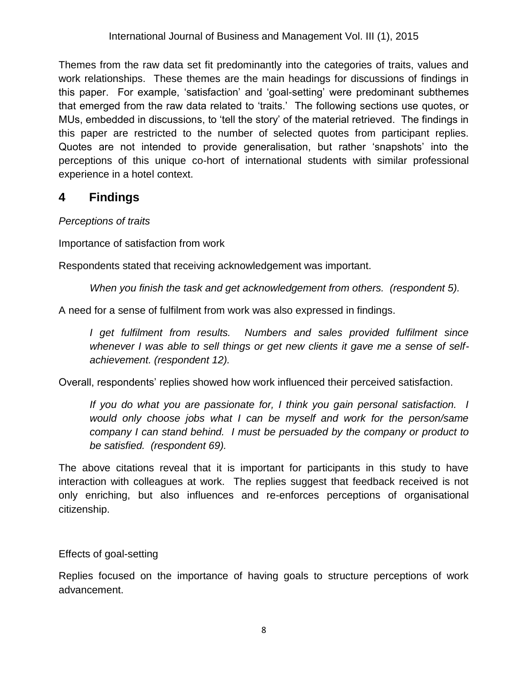Themes from the raw data set fit predominantly into the categories of traits, values and work relationships. These themes are the main headings for discussions of findings in this paper. For example, 'satisfaction' and 'goal-setting' were predominant subthemes that emerged from the raw data related to 'traits.' The following sections use quotes, or MUs, embedded in discussions, to 'tell the story' of the material retrieved. The findings in this paper are restricted to the number of selected quotes from participant replies. Quotes are not intended to provide generalisation, but rather 'snapshots' into the perceptions of this unique co-hort of international students with similar professional experience in a hotel context.

## **4 Findings**

#### *Perceptions of traits*

Importance of satisfaction from work

Respondents stated that receiving acknowledgement was important.

*When you finish the task and get acknowledgement from others. (respondent 5).*

A need for a sense of fulfilment from work was also expressed in findings.

*I get fulfilment from results. Numbers and sales provided fulfilment since whenever I was able to sell things or get new clients it gave me a sense of selfachievement. (respondent 12).*

Overall, respondents' replies showed how work influenced their perceived satisfaction.

*If you do what you are passionate for, I think you gain personal satisfaction. I would only choose jobs what I can be myself and work for the person/same company I can stand behind. I must be persuaded by the company or product to be satisfied. (respondent 69).*

The above citations reveal that it is important for participants in this study to have interaction with colleagues at work. The replies suggest that feedback received is not only enriching, but also influences and re-enforces perceptions of organisational citizenship.

Effects of goal-setting

Replies focused on the importance of having goals to structure perceptions of work advancement.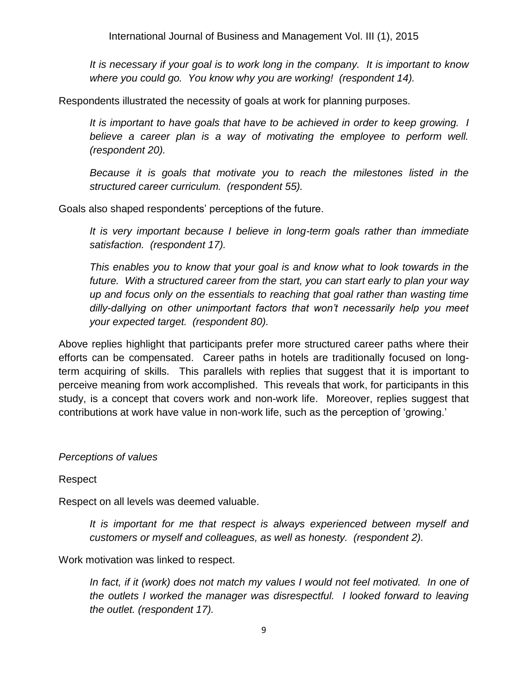*It is necessary if your goal is to work long in the company. It is important to know where you could go. You know why you are working! (respondent 14).*

Respondents illustrated the necessity of goals at work for planning purposes.

It is important to have goals that have to be achieved in order to keep growing. I *believe a career plan is a way of motivating the employee to perform well. (respondent 20).*

*Because it is goals that motivate you to reach the milestones listed in the structured career curriculum. (respondent 55).*

Goals also shaped respondents' perceptions of the future.

*It is very important because I believe in long-term goals rather than immediate satisfaction. (respondent 17).*

*This enables you to know that your goal is and know what to look towards in the future. With a structured career from the start, you can start early to plan your way up and focus only on the essentials to reaching that goal rather than wasting time dilly-dallying on other unimportant factors that won't necessarily help you meet your expected target. (respondent 80).*

Above replies highlight that participants prefer more structured career paths where their efforts can be compensated. Career paths in hotels are traditionally focused on longterm acquiring of skills. This parallels with replies that suggest that it is important to perceive meaning from work accomplished. This reveals that work, for participants in this study, is a concept that covers work and non-work life. Moreover, replies suggest that contributions at work have value in non-work life, such as the perception of 'growing.'

#### *Perceptions of values*

Respect

Respect on all levels was deemed valuable.

*It is important for me that respect is always experienced between myself and customers or myself and colleagues, as well as honesty. (respondent 2).*

Work motivation was linked to respect.

In fact, if it (work) does not match my values I would not feel motivated. In one of *the outlets I worked the manager was disrespectful. I looked forward to leaving the outlet. (respondent 17).*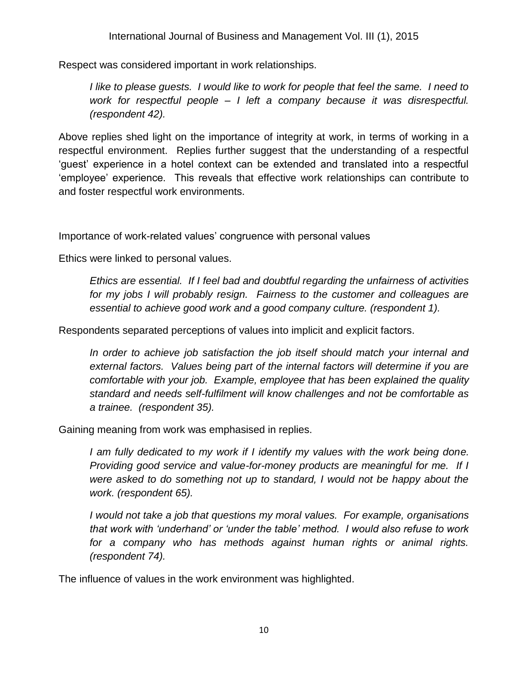Respect was considered important in work relationships.

*I like to please guests. I would like to work for people that feel the same. I need to work for respectful people – I left a company because it was disrespectful. (respondent 42).*

Above replies shed light on the importance of integrity at work, in terms of working in a respectful environment. Replies further suggest that the understanding of a respectful 'guest' experience in a hotel context can be extended and translated into a respectful 'employee' experience. This reveals that effective work relationships can contribute to and foster respectful work environments.

Importance of work-related values' congruence with personal values

Ethics were linked to personal values.

*Ethics are essential. If I feel bad and doubtful regarding the unfairness of activities for my jobs I will probably resign. Fairness to the customer and colleagues are essential to achieve good work and a good company culture. (respondent 1).*

Respondents separated perceptions of values into implicit and explicit factors.

*In order to achieve job satisfaction the job itself should match your internal and external factors. Values being part of the internal factors will determine if you are comfortable with your job. Example, employee that has been explained the quality standard and needs self-fulfilment will know challenges and not be comfortable as a trainee. (respondent 35).*

Gaining meaning from work was emphasised in replies.

I am fully dedicated to my work if I identify my values with the work being done. *Providing good service and value-for-money products are meaningful for me. If I were asked to do something not up to standard, I would not be happy about the work. (respondent 65).*

*I would not take a job that questions my moral values. For example, organisations that work with 'underhand' or 'under the table' method. I would also refuse to work for a company who has methods against human rights or animal rights. (respondent 74).*

The influence of values in the work environment was highlighted.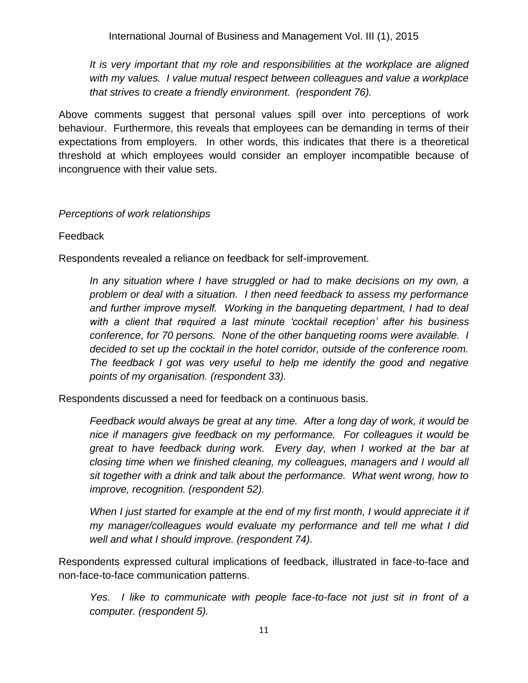International Journal of Business and Management Vol. III (1), 2015

*It is very important that my role and responsibilities at the workplace are aligned with my values. I value mutual respect between colleagues and value a workplace that strives to create a friendly environment. (respondent 76).*

Above comments suggest that personal values spill over into perceptions of work behaviour. Furthermore, this reveals that employees can be demanding in terms of their expectations from employers. In other words, this indicates that there is a theoretical threshold at which employees would consider an employer incompatible because of incongruence with their value sets.

#### *Perceptions of work relationships*

#### Feedback

Respondents revealed a reliance on feedback for self-improvement.

*In any situation where I have struggled or had to make decisions on my own, a problem or deal with a situation. I then need feedback to assess my performance*  and further improve myself. Working in the banqueting department, I had to deal *with a client that required a last minute 'cocktail reception' after his business conference, for 70 persons. None of the other banqueting rooms were available. I decided to set up the cocktail in the hotel corridor, outside of the conference room. The feedback I got was very useful to help me identify the good and negative points of my organisation. (respondent 33).*

Respondents discussed a need for feedback on a continuous basis.

*Feedback would always be great at any time. After a long day of work, it would be nice if managers give feedback on my performance. For colleagues it would be great to have feedback during work. Every day, when I worked at the bar at closing time when we finished cleaning, my colleagues, managers and I would all sit together with a drink and talk about the performance. What went wrong, how to improve, recognition. (respondent 52).*

*When I just started for example at the end of my first month, I would appreciate it if my manager/colleagues would evaluate my performance and tell me what I did well and what I should improve. (respondent 74).*

Respondents expressed cultural implications of feedback, illustrated in face-to-face and non-face-to-face communication patterns.

*Yes. I like to communicate with people face-to-face not just sit in front of a computer. (respondent 5).*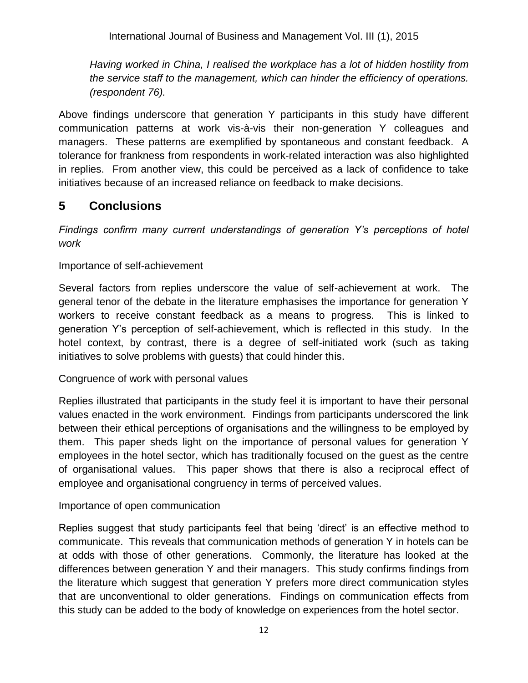*Having worked in China, I realised the workplace has a lot of hidden hostility from the service staff to the management, which can hinder the efficiency of operations. (respondent 76).*

Above findings underscore that generation Y participants in this study have different communication patterns at work vis-à-vis their non-generation Y colleagues and managers. These patterns are exemplified by spontaneous and constant feedback. A tolerance for frankness from respondents in work-related interaction was also highlighted in replies. From another view, this could be perceived as a lack of confidence to take initiatives because of an increased reliance on feedback to make decisions.

# **5 Conclusions**

*Findings confirm many current understandings of generation Y's perceptions of hotel work*

## Importance of self-achievement

Several factors from replies underscore the value of self-achievement at work. The general tenor of the debate in the literature emphasises the importance for generation Y workers to receive constant feedback as a means to progress. This is linked to generation Y's perception of self-achievement, which is reflected in this study. In the hotel context, by contrast, there is a degree of self-initiated work (such as taking initiatives to solve problems with guests) that could hinder this.

## Congruence of work with personal values

Replies illustrated that participants in the study feel it is important to have their personal values enacted in the work environment. Findings from participants underscored the link between their ethical perceptions of organisations and the willingness to be employed by them. This paper sheds light on the importance of personal values for generation Y employees in the hotel sector, which has traditionally focused on the guest as the centre of organisational values. This paper shows that there is also a reciprocal effect of employee and organisational congruency in terms of perceived values.

## Importance of open communication

Replies suggest that study participants feel that being 'direct' is an effective method to communicate. This reveals that communication methods of generation Y in hotels can be at odds with those of other generations. Commonly, the literature has looked at the differences between generation Y and their managers. This study confirms findings from the literature which suggest that generation Y prefers more direct communication styles that are unconventional to older generations. Findings on communication effects from this study can be added to the body of knowledge on experiences from the hotel sector.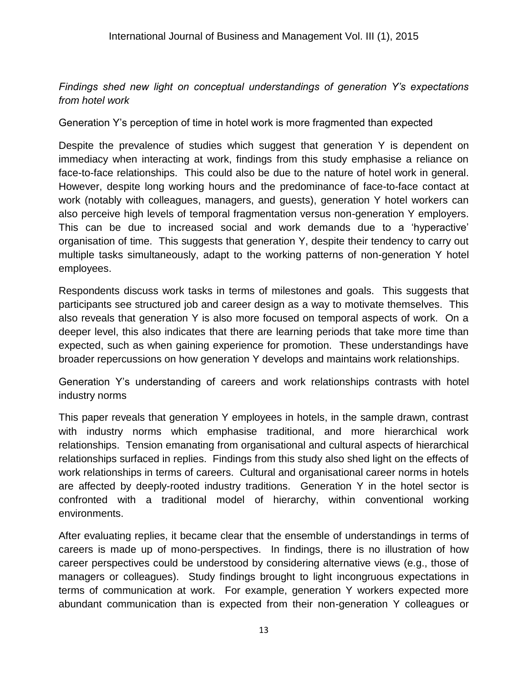## *Findings shed new light on conceptual understandings of generation Y's expectations from hotel work*

Generation Y's perception of time in hotel work is more fragmented than expected

Despite the prevalence of studies which suggest that generation Y is dependent on immediacy when interacting at work, findings from this study emphasise a reliance on face-to-face relationships. This could also be due to the nature of hotel work in general. However, despite long working hours and the predominance of face-to-face contact at work (notably with colleagues, managers, and guests), generation Y hotel workers can also perceive high levels of temporal fragmentation versus non-generation Y employers. This can be due to increased social and work demands due to a 'hyperactive' organisation of time. This suggests that generation Y, despite their tendency to carry out multiple tasks simultaneously, adapt to the working patterns of non-generation Y hotel employees.

Respondents discuss work tasks in terms of milestones and goals. This suggests that participants see structured job and career design as a way to motivate themselves. This also reveals that generation Y is also more focused on temporal aspects of work. On a deeper level, this also indicates that there are learning periods that take more time than expected, such as when gaining experience for promotion. These understandings have broader repercussions on how generation Y develops and maintains work relationships.

Generation Y's understanding of careers and work relationships contrasts with hotel industry norms

This paper reveals that generation Y employees in hotels, in the sample drawn, contrast with industry norms which emphasise traditional, and more hierarchical work relationships. Tension emanating from organisational and cultural aspects of hierarchical relationships surfaced in replies. Findings from this study also shed light on the effects of work relationships in terms of careers. Cultural and organisational career norms in hotels are affected by deeply-rooted industry traditions. Generation Y in the hotel sector is confronted with a traditional model of hierarchy, within conventional working environments.

After evaluating replies, it became clear that the ensemble of understandings in terms of careers is made up of mono-perspectives. In findings, there is no illustration of how career perspectives could be understood by considering alternative views (e.g., those of managers or colleagues). Study findings brought to light incongruous expectations in terms of communication at work. For example, generation Y workers expected more abundant communication than is expected from their non-generation Y colleagues or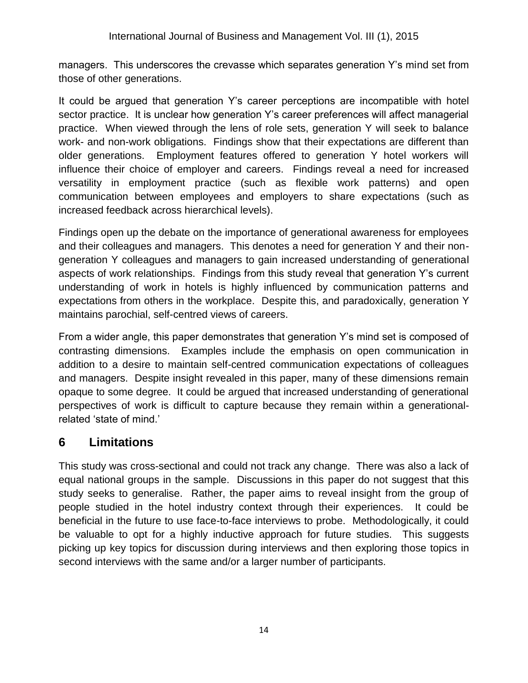managers. This underscores the crevasse which separates generation Y's mind set from those of other generations.

It could be argued that generation Y's career perceptions are incompatible with hotel sector practice. It is unclear how generation Y's career preferences will affect managerial practice. When viewed through the lens of role sets, generation Y will seek to balance work- and non-work obligations. Findings show that their expectations are different than older generations. Employment features offered to generation Y hotel workers will influence their choice of employer and careers. Findings reveal a need for increased versatility in employment practice (such as flexible work patterns) and open communication between employees and employers to share expectations (such as increased feedback across hierarchical levels).

Findings open up the debate on the importance of generational awareness for employees and their colleagues and managers. This denotes a need for generation Y and their nongeneration Y colleagues and managers to gain increased understanding of generational aspects of work relationships. Findings from this study reveal that generation Y's current understanding of work in hotels is highly influenced by communication patterns and expectations from others in the workplace. Despite this, and paradoxically, generation Y maintains parochial, self-centred views of careers.

From a wider angle, this paper demonstrates that generation Y's mind set is composed of contrasting dimensions. Examples include the emphasis on open communication in addition to a desire to maintain self-centred communication expectations of colleagues and managers. Despite insight revealed in this paper, many of these dimensions remain opaque to some degree. It could be argued that increased understanding of generational perspectives of work is difficult to capture because they remain within a generationalrelated 'state of mind.'

## **6 Limitations**

This study was cross-sectional and could not track any change. There was also a lack of equal national groups in the sample. Discussions in this paper do not suggest that this study seeks to generalise. Rather, the paper aims to reveal insight from the group of people studied in the hotel industry context through their experiences. It could be beneficial in the future to use face-to-face interviews to probe. Methodologically, it could be valuable to opt for a highly inductive approach for future studies. This suggests picking up key topics for discussion during interviews and then exploring those topics in second interviews with the same and/or a larger number of participants.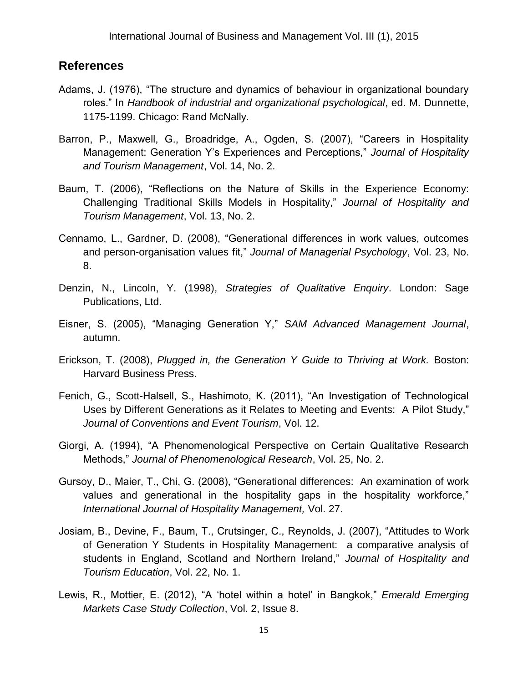## **References**

- Adams, J. (1976), "The structure and dynamics of behaviour in organizational boundary roles." In *Handbook of industrial and organizational psychological*, ed. M. Dunnette, 1175-1199. Chicago: Rand McNally.
- Barron, P., Maxwell, G., Broadridge, A., Ogden, S. (2007), "Careers in Hospitality Management: Generation Y's Experiences and Perceptions," *Journal of Hospitality and Tourism Management*, Vol. 14, No. 2.
- Baum, T. (2006), "Reflections on the Nature of Skills in the Experience Economy: Challenging Traditional Skills Models in Hospitality," *Journal of Hospitality and Tourism Management*, Vol. 13, No. 2.
- Cennamo, L., Gardner, D. (2008), "Generational differences in work values, outcomes and person-organisation values fit," *Journal of Managerial Psychology*, Vol. 23, No. 8.
- Denzin, N., Lincoln, Y. (1998), *Strategies of Qualitative Enquiry*. London: Sage Publications, Ltd.
- Eisner, S. (2005), "Managing Generation Y," *SAM Advanced Management Journal*, autumn.
- Erickson, T. (2008), *Plugged in, the Generation Y Guide to Thriving at Work.* Boston: Harvard Business Press.
- Fenich, G., Scott-Halsell, S., Hashimoto, K. (2011), "An Investigation of Technological Uses by Different Generations as it Relates to Meeting and Events: A Pilot Study," *Journal of Conventions and Event Tourism*, Vol. 12.
- Giorgi, A. (1994), "A Phenomenological Perspective on Certain Qualitative Research Methods," *Journal of Phenomenological Research*, Vol. 25, No. 2.
- Gursoy, D., Maier, T., Chi, G. (2008), "Generational differences: An examination of work values and generational in the hospitality gaps in the hospitality workforce," *International Journal of Hospitality Management,* Vol. 27.
- Josiam, B., Devine, F., Baum, T., Crutsinger, C., Reynolds, J. (2007), "Attitudes to Work of Generation Y Students in Hospitality Management: a comparative analysis of students in England, Scotland and Northern Ireland," *Journal of Hospitality and Tourism Education*, Vol. 22, No. 1.
- Lewis, R., Mottier, E. (2012), "A 'hotel within a hotel' in Bangkok," *Emerald Emerging Markets Case Study Collection*, Vol. 2, Issue 8.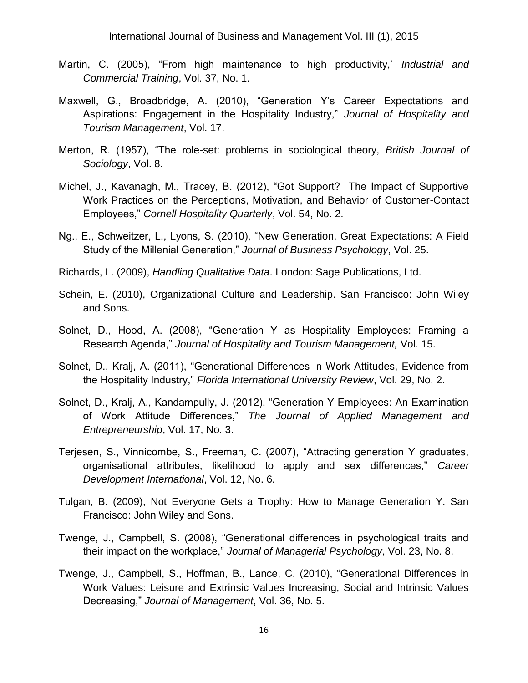- Martin, C. (2005), "From high maintenance to high productivity,' *Industrial and Commercial Training*, Vol. 37, No. 1.
- Maxwell, G., Broadbridge, A. (2010), "Generation Y's Career Expectations and Aspirations: Engagement in the Hospitality Industry," *Journal of Hospitality and Tourism Management*, Vol. 17.
- Merton, R. (1957), "The role-set: problems in sociological theory, *British Journal of Sociology*, Vol. 8.
- Michel, J., Kavanagh, M., Tracey, B. (2012), "Got Support? The Impact of Supportive Work Practices on the Perceptions, Motivation, and Behavior of Customer-Contact Employees," *Cornell Hospitality Quarterly*, Vol. 54, No. 2.
- Ng., E., Schweitzer, L., Lyons, S. (2010), "New Generation, Great Expectations: A Field Study of the Millenial Generation," *Journal of Business Psychology*, Vol. 25.
- Richards, L. (2009), *Handling Qualitative Data*. London: Sage Publications, Ltd.
- Schein, E. (2010), Organizational Culture and Leadership. San Francisco: John Wiley and Sons.
- Solnet, D., Hood, A. (2008), "Generation Y as Hospitality Employees: Framing a Research Agenda," *Journal of Hospitality and Tourism Management,* Vol. 15.
- Solnet, D., Kralj, A. (2011), "Generational Differences in Work Attitudes, Evidence from the Hospitality Industry," *Florida International University Review*, Vol. 29, No. 2.
- Solnet, D., Kralj, A., Kandampully, J. (2012), "Generation Y Employees: An Examination of Work Attitude Differences," *The Journal of Applied Management and Entrepreneurship*, Vol. 17, No. 3.
- Terjesen, S., Vinnicombe, S., Freeman, C. (2007), "Attracting generation Y graduates, organisational attributes, likelihood to apply and sex differences," *Career Development International*, Vol. 12, No. 6.
- Tulgan, B. (2009), Not Everyone Gets a Trophy: How to Manage Generation Y. San Francisco: John Wiley and Sons.
- Twenge, J., Campbell, S. (2008), "Generational differences in psychological traits and their impact on the workplace," *Journal of Managerial Psychology*, Vol. 23, No. 8.
- Twenge, J., Campbell, S., Hoffman, B., Lance, C. (2010), "Generational Differences in Work Values: Leisure and Extrinsic Values Increasing, Social and Intrinsic Values Decreasing," *Journal of Management*, Vol. 36, No. 5.